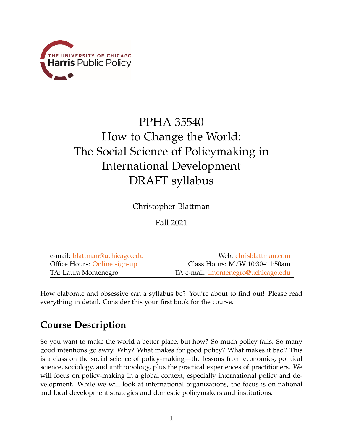

# PPHA 35540 How to Change the World: The Social Science of Policymaking in International Development DRAFT syllabus

Christopher Blattman

Fall 2021

| e-mail: blattman@uchicago.edu | Web: chrisblattman.com              |
|-------------------------------|-------------------------------------|
| Office Hours: Online sign-up  | Class Hours: M/W 10:30-11:50am      |
| TA: Laura Montenegro          | TA e-mail: lmontenegro@uchicago.edu |

How elaborate and obsessive can a syllabus be? You're about to find out! Please read everything in detail. Consider this your first book for the course.

# **Course Description**

So you want to make the world a better place, but how? So much policy fails. So many good intentions go awry. Why? What makes for good policy? What makes it bad? This is a class on the social science of policy-making—the lessons from economics, political science, sociology, and anthropology, plus the practical experiences of practitioners. We will focus on policy-making in a global context, especially international policy and development. While we will look at international organizations, the focus is on national and local development strategies and domestic policymakers and institutions.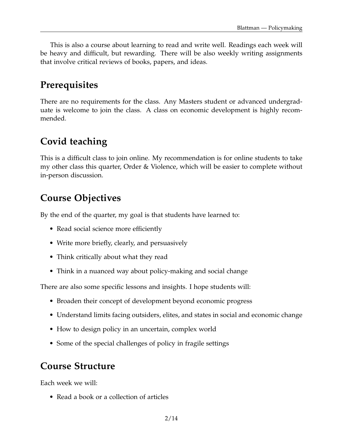This is also a course about learning to read and write well. Readings each week will be heavy and difficult, but rewarding. There will be also weekly writing assignments that involve critical reviews of books, papers, and ideas.

# **Prerequisites**

There are no requirements for the class. Any Masters student or advanced undergraduate is welcome to join the class. A class on economic development is highly recommended.

# **Covid teaching**

This is a difficult class to join online. My recommendation is for online students to take my other class this quarter, Order & Violence, which will be easier to complete without in-person discussion.

# **Course Objectives**

By the end of the quarter, my goal is that students have learned to:

- Read social science more efficiently
- Write more briefly, clearly, and persuasively
- Think critically about what they read
- Think in a nuanced way about policy-making and social change

There are also some specific lessons and insights. I hope students will:

- Broaden their concept of development beyond economic progress
- Understand limits facing outsiders, elites, and states in social and economic change
- How to design policy in an uncertain, complex world
- Some of the special challenges of policy in fragile settings

### **Course Structure**

Each week we will:

• Read a book or a collection of articles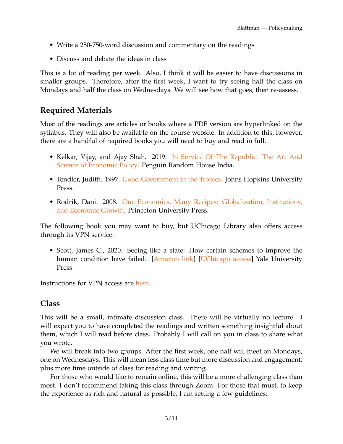- Write a 250-750-word discussion and commentary on the readings
- Discuss and debate the ideas in class

This is a lot of reading per week. Also, I think it will be easier to have discussions in smaller groups. Therefore, after the first week, I want to try seeing half the class on Mondays and half the class on Wednesdays. We will see how that goes, then re-assess.

#### **Required Materials**

Most of the readings are articles or books where a PDF version are hyperlinked on the syllabus. They will also be available on the course website. In addition to this, however, there are a handful of required books you will need to buy and read in full.

- Kelkar, Vijay, and Ajay Shah. 2019. [In Service Of The Republic: The Art And](https://amzn.to/2OgYGfb) [Science of Economic Policy.](https://amzn.to/2OgYGfb) Penguin Random House India.
- Tendler, Judith. 1997. [Good Government in the Tropics.](https://amzn.to/3p47Zfb) Johns Hopkins University Press.
- Rodrik, Dani. 2008. [One Economics, Many Recipes: Globalization, Institutions,](https://amzn.to/3cJIMEd) [and Economic Growth.](https://amzn.to/3cJIMEd) Princeton University Press.

The following book you may want to buy, but UChicago Library also offers access through its VPN service:

• Scott, James C., 2020. Seeing like a state: How certain schemes to improve the human condition have failed. [\[Amazon link\]](https://amzn.to/3tvCHkG) [\[UChicago access\]](https://www-jstor-org.proxy.uchicago.edu/stable/j.ctt1nq3vk) Yale University Press.

Instructions for VPN access are [here.](https://its.uchicago.edu/2018/09/11/training-tip-cvpn/)

#### **Class**

This will be a small, intimate discussion class. There will be virtually no lecture. I will expect you to have completed the readings and written something insightful about them, which I will read before class. Probably I will call on you in class to share what you wrote.

We will break into two groups. After the first week, one half will meet on Mondays, one on Wednesdays. This will mean less class time but more discussion and engagement, plus more time outside of class for reading and writing.

For those who would like to remain online, this will be a more challenging class than most. I don't recommend taking this class through Zoom. For those that must, to keep the experience as rich and natural as possible, I am setting a few guidelines: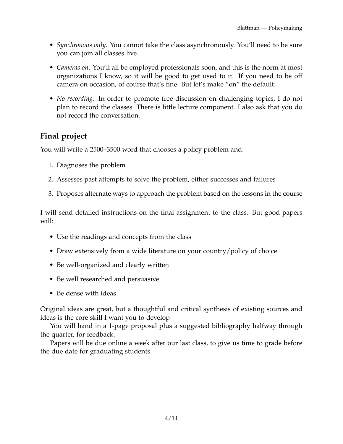- *Synchronous only*. You cannot take the class asynchronously. You'll need to be sure you can join all classes live.
- *Cameras on*. You'll all be employed professionals soon, and this is the norm at most organizations I know, so it will be good to get used to it. If you need to be off camera on occasion, of course that's fine. But let's make "on" the default.
- *No recording*. In order to promote free discussion on challenging topics, I do not plan to record the classes. There is little lecture component. I also ask that you do not record the conversation.

#### **Final project**

You will write a 2500–3500 word that chooses a policy problem and:

- 1. Diagnoses the problem
- 2. Assesses past attempts to solve the problem, either successes and failures
- 3. Proposes alternate ways to approach the problem based on the lessons in the course

I will send detailed instructions on the final assignment to the class. But good papers will:

- Use the readings and concepts from the class
- Draw extensively from a wide literature on your country/policy of choice
- Be well-organized and clearly written
- Be well researched and persuasive
- Be dense with ideas

Original ideas are great, but a thoughtful and critical synthesis of existing sources and ideas is the core skill I want you to develop

You will hand in a 1-page proposal plus a suggested bibliography halfway through the quarter, for feedback.

Papers will be due online a week after our last class, to give us time to grade before the due date for graduating students.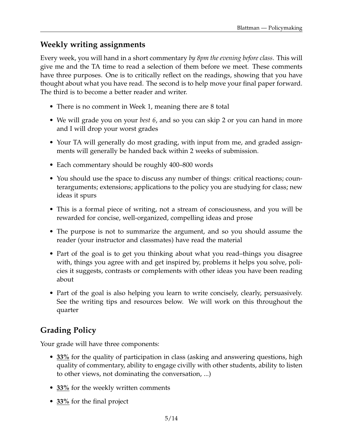#### **Weekly writing assignments**

Every week, you will hand in a short commentary *by 8pm the evening before class*. This will give me and the TA time to read a selection of them before we meet. These comments have three purposes. One is to critically reflect on the readings, showing that you have thought about what you have read. The second is to help move your final paper forward. The third is to become a better reader and writer.

- There is no comment in Week 1, meaning there are 8 total
- We will grade you on your *best 6*, and so you can skip 2 or you can hand in more and I will drop your worst grades
- Your TA will generally do most grading, with input from me, and graded assignments will generally be handed back within 2 weeks of submission.
- Each commentary should be roughly 400–800 words
- You should use the space to discuss any number of things: critical reactions; counterarguments; extensions; applications to the policy you are studying for class; new ideas it spurs
- This is a formal piece of writing, not a stream of consciousness, and you will be rewarded for concise, well-organized, compelling ideas and prose
- The purpose is not to summarize the argument, and so you should assume the reader (your instructor and classmates) have read the material
- Part of the goal is to get you thinking about what you read–things you disagree with, things you agree with and get inspired by, problems it helps you solve, policies it suggests, contrasts or complements with other ideas you have been reading about
- Part of the goal is also helping you learn to write concisely, clearly, persuasively. See the writing tips and resources below. We will work on this throughout the quarter

#### **Grading Policy**

Your grade will have three components:

- **33%** for the quality of participation in class (asking and answering questions, high quality of commentary, ability to engage civilly with other students, ability to listen to other views, not dominating the conversation, ...)
- **33%** for the weekly written comments
- **33%** for the final project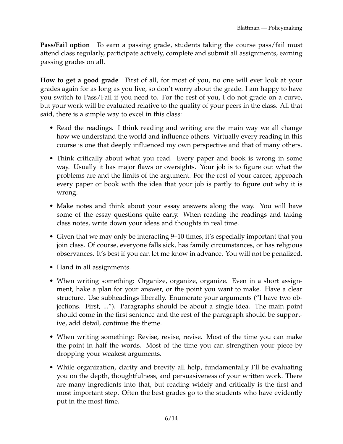**Pass/Fail option** To earn a passing grade, students taking the course pass/fail must attend class regularly, participate actively, complete and submit all assignments, earning passing grades on all.

**How to get a good grade** First of all, for most of you, no one will ever look at your grades again for as long as you live, so don't worry about the grade. I am happy to have you switch to Pass/Fail if you need to. For the rest of you, I do not grade on a curve, but your work will be evaluated relative to the quality of your peers in the class. All that said, there is a simple way to excel in this class:

- Read the readings. I think reading and writing are the main way we all change how we understand the world and influence others. Virtually every reading in this course is one that deeply influenced my own perspective and that of many others.
- Think critically about what you read. Every paper and book is wrong in some way. Usually it has major flaws or oversights. Your job is to figure out what the problems are and the limits of the argument. For the rest of your career, approach every paper or book with the idea that your job is partly to figure out why it is wrong.
- Make notes and think about your essay answers along the way. You will have some of the essay questions quite early. When reading the readings and taking class notes, write down your ideas and thoughts in real time.
- Given that we may only be interacting 9–10 times, it's especially important that you join class. Of course, everyone falls sick, has family circumstances, or has religious observances. It's best if you can let me know in advance. You will not be penalized.
- Hand in all assignments.
- When writing something: Organize, organize, organize. Even in a short assignment, hake a plan for your answer, or the point you want to make. Have a clear structure. Use subheadings liberally. Enumerate your arguments ("I have two objections. First, ..."). Paragraphs should be about a single idea. The main point should come in the first sentence and the rest of the paragraph should be supportive, add detail, continue the theme.
- When writing something: Revise, revise, revise. Most of the time you can make the point in half the words. Most of the time you can strengthen your piece by dropping your weakest arguments.
- While organization, clarity and brevity all help, fundamentally I'll be evaluating you on the depth, thoughtfulness, and persuasiveness of your written work. There are many ingredients into that, but reading widely and critically is the first and most important step. Often the best grades go to the students who have evidently put in the most time.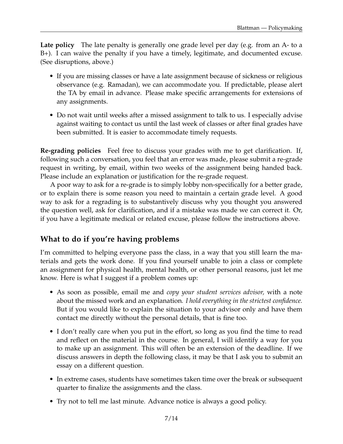**Late policy** The late penalty is generally one grade level per day (e.g. from an A- to a B+). I can waive the penalty if you have a timely, legitimate, and documented excuse. (See disruptions, above.)

- If you are missing classes or have a late assignment because of sickness or religious observance (e.g. Ramadan), we can accommodate you. If predictable, please alert the TA by email in advance. Please make specific arrangements for extensions of any assignments.
- Do not wait until weeks after a missed assignment to talk to us. I especially advise against waiting to contact us until the last week of classes or after final grades have been submitted. It is easier to accommodate timely requests.

**Re-grading policies** Feel free to discuss your grades with me to get clarification. If, following such a conversation, you feel that an error was made, please submit a re-grade request in writing, by email, within two weeks of the assignment being handed back. Please include an explanation or justification for the re-grade request.

A poor way to ask for a re-grade is to simply lobby non-specifically for a better grade, or to explain there is some reason you need to maintain a certain grade level. A good way to ask for a regrading is to substantively discuss why you thought you answered the question well, ask for clarification, and if a mistake was made we can correct it. Or, if you have a legitimate medical or related excuse, please follow the instructions above.

#### **What to do if you're having problems**

I'm committed to helping everyone pass the class, in a way that you still learn the materials and gets the work done. If you find yourself unable to join a class or complete an assignment for physical health, mental health, or other personal reasons, just let me know. Here is what I suggest if a problem comes up:

- As soon as possible, email me and *copy your student services advisor,* with a note about the missed work and an explanation*. I hold everything in the strictest confidence.* But if you would like to explain the situation to your advisor only and have them contact me directly without the personal details, that is fine too.
- I don't really care when you put in the effort, so long as you find the time to read and reflect on the material in the course. In general, I will identify a way for you to make up an assignment. This will often be an extension of the deadline. If we discuss answers in depth the following class, it may be that I ask you to submit an essay on a different question.
- In extreme cases, students have sometimes taken time over the break or subsequent quarter to finalize the assignments and the class.
- Try not to tell me last minute. Advance notice is always a good policy.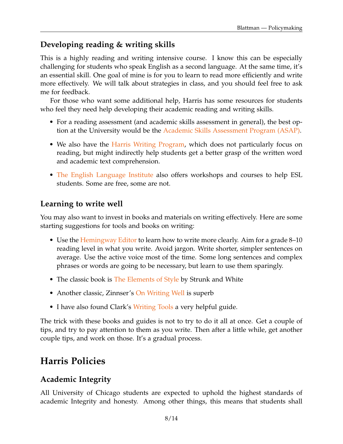#### **Developing reading & writing skills**

This is a highly reading and writing intensive course. I know this can be especially challenging for students who speak English as a second language. At the same time, it's an essential skill. One goal of mine is for you to learn to read more efficiently and write more effectively. We will talk about strategies in class, and you should feel free to ask me for feedback.

For those who want some additional help, Harris has some resources for students who feel they need help developing their academic reading and writing skills.

- For a reading assessment (and academic skills assessment in general), the best option at the University would be the [Academic Skills Assessment Program \(ASAP\).](https://wellness.uchicago.edu/mental-health/academic-skills-assessment-program/)
- We also have the [Harris Writing Program,](https://harris.uchicago.edu/student-life/harris-experience/academic-support-programs) which does not particularly focus on reading, but might indirectly help students get a better grasp of the written word and academic text comprehension.
- [The English Language Institute](https://esl.uchicago.edu/) also offers workshops and courses to help ESL students. Some are free, some are not.

#### **Learning to write well**

You may also want to invest in books and materials on writing effectively. Here are some starting suggestions for tools and books on writing:

- Use the [Hemingway Editor](http://www.hemingwayapp.com/) to learn how to write more clearly. Aim for a grade 8–10 reading level in what you write. Avoid jargon. Write shorter, simpler sentences on average. Use the active voice most of the time. Some long sentences and complex phrases or words are going to be necessary, but learn to use them sparingly.
- The classic book is [The Elements of Style](https://amzn.to/2LrNc7r) by Strunk and White
- Another classic, Zinnser's [On Writing Well](https://amzn.to/3rlVXiG) is superb
- I have also found Clark's [Writing Tools](https://amzn.to/39SLZPV) a very helpful guide.

The trick with these books and guides is not to try to do it all at once. Get a couple of tips, and try to pay attention to them as you write. Then after a little while, get another couple tips, and work on those. It's a gradual process.

# **Harris Policies**

#### **Academic Integrity**

All University of Chicago students are expected to uphold the highest standards of academic Integrity and honesty. Among other things, this means that students shall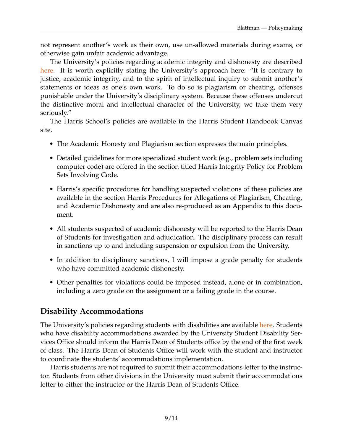not represent another's work as their own, use un-allowed materials during exams, or otherwise gain unfair academic advantage.

The University's policies regarding academic integrity and dishonesty are described [here.](https://studentmanual.uchicago.edu/academic-policies/academic-honesty-plagiarism/) It is worth explicitly stating the University's approach here: "It is contrary to justice, academic integrity, and to the spirit of intellectual inquiry to submit another's statements or ideas as one's own work. To do so is plagiarism or cheating, offenses punishable under the University's disciplinary system. Because these offenses undercut the distinctive moral and intellectual character of the University, we take them very seriously."

The Harris School's policies are available in the Harris Student Handbook Canvas site.

- The Academic Honesty and Plagiarism section expresses the main principles.
- Detailed guidelines for more specialized student work (e.g., problem sets including computer code) are offered in the section titled Harris Integrity Policy for Problem Sets Involving Code.
- Harris's specific procedures for handling suspected violations of these policies are available in the section Harris Procedures for Allegations of Plagiarism, Cheating, and Academic Dishonesty and are also re-produced as an Appendix to this document.
- All students suspected of academic dishonesty will be reported to the Harris Dean of Students for investigation and adjudication. The disciplinary process can result in sanctions up to and including suspension or expulsion from the University.
- In addition to disciplinary sanctions, I will impose a grade penalty for students who have committed academic dishonesty.
- Other penalties for violations could be imposed instead, alone or in combination, including a zero grade on the assignment or a failing grade in the course.

#### **Disability Accommodations**

The University's policies regarding students with disabilities are available [here.](https://studentmanual.uchicago.edu/university-policies/disability-accommodations/) Students who have disability accommodations awarded by the University Student Disability Services Office should inform the Harris Dean of Students office by the end of the first week of class. The Harris Dean of Students Office will work with the student and instructor to coordinate the students' accommodations implementation.

Harris students are not required to submit their accommodations letter to the instructor. Students from other divisions in the University must submit their accommodations letter to either the instructor or the Harris Dean of Students Office.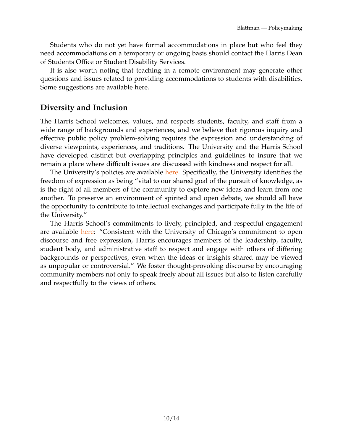Students who do not yet have formal accommodations in place but who feel they need accommodations on a temporary or ongoing basis should contact the Harris Dean of Students Office or Student Disability Services.

It is also worth noting that teaching in a remote environment may generate other questions and issues related to providing accommodations to students with disabilities. Some suggestions are available here.

#### **Diversity and Inclusion**

The Harris School welcomes, values, and respects students, faculty, and staff from a wide range of backgrounds and experiences, and we believe that rigorous inquiry and effective public policy problem-solving requires the expression and understanding of diverse viewpoints, experiences, and traditions. The University and the Harris School have developed distinct but overlapping principles and guidelines to insure that we remain a place where difficult issues are discussed with kindness and respect for all.

The University's policies are available [here.](https://studentmanual.uchicago.edu/university-policies/) Specifically, the University identifies the freedom of expression as being "vital to our shared goal of the pursuit of knowledge, as is the right of all members of the community to explore new ideas and learn from one another. To preserve an environment of spirited and open debate, we should all have the opportunity to contribute to intellectual exchanges and participate fully in the life of the University."

The Harris School's commitments to lively, principled, and respectful engagement are available [here:](https://harris.uchicago.edu/about/who-we-are/diversity-inclusion) "Consistent with the University of Chicago's commitment to open discourse and free expression, Harris encourages members of the leadership, faculty, student body, and administrative staff to respect and engage with others of differing backgrounds or perspectives, even when the ideas or insights shared may be viewed as unpopular or controversial." We foster thought-provoking discourse by encouraging community members not only to speak freely about all issues but also to listen carefully and respectfully to the views of others.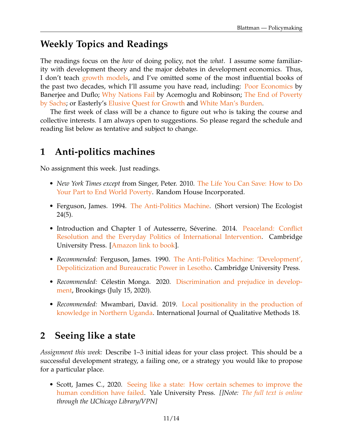### **Weekly Topics and Readings**

The readings focus on the *how* of doing policy, not the *what*. I assume some familiarity with development theory and the major debates in development economics. Thus, I don't teach [growth models,](https://www.dropbox.com/s/mtqswh669zwhfdx/Ch4.pdf?dl=0) and I've omitted some of the most influential books of the past two decades, which I'll assume you have read, including: [Poor Economics](https://amzn.to/3cMRMZ0) by Banerjee and Duflo; [Why Nations Fail](https://amzn.to/3jnOTPT) by Acemoglu and Robinson; [The End of Poverty](https://amzn.to/3oW6u2k) [by Sachs;](https://amzn.to/3oW6u2k) or Easterly's [Elusive Quest for Growth](https://amzn.to/2YSScFm) and [White Man's Burden.](https://amzn.to/3pXtL5o)

The first week of class will be a chance to figure out who is taking the course and collective interests. I am always open to suggestions. So please regard the schedule and reading list below as tentative and subject to change.

### **1 Anti-politics machines**

No assignment this week. Just readings.

- *New York Times except* from Singer, Peter. 2010. [The Life You Can Save: How to Do](http://www.nytimes.com/2009/03/11/books/chapters/chapter-life-you-could-save.html) [Your Part to End World Poverty.](http://www.nytimes.com/2009/03/11/books/chapters/chapter-life-you-could-save.html) Random House Incorporated.
- Ferguson, James. 1994. [The Anti-Politics Machine.](https://www.dropbox.com/s/trpvl9nnuu5ntvc/Ferguson%20-%20The%20Anti%20Politics%20Machine.pdf?dl=0) (Short version) The Ecologist 24(5).
- Introduction and Chapter 1 of Autesserre, Séverine. 2014. [Peaceland: Conflict](https://amzn.to/3q0VbY4) [Resolution and the Everyday Politics of International Intervention.](https://amzn.to/3q0VbY4) Cambridge University Press. [\[Amazon link to book\]](https://amzn.to/3q0VbY4).
- *Recommended:* Ferguson, James. 1990. [The Anti-Politics Machine: 'Development',](https://www.dropbox.com/s/trpvl9nnuu5ntvc/Ferguson%20-%20The%20Anti%20Politics%20Machine.pdf?dl=0) [Depoliticization and Bureaucratic Power in Lesotho.](https://www.dropbox.com/s/trpvl9nnuu5ntvc/Ferguson%20-%20The%20Anti%20Politics%20Machine.pdf?dl=0) Cambridge University Press.
- *Recommended:* Célestin Monga. 2020. [Discrimination and prejudice in develop](https://www.brookings.edu/blog/future-development/2020/07/15/discrimination-and-prejudice-in-development/)[ment,](https://www.brookings.edu/blog/future-development/2020/07/15/discrimination-and-prejudice-in-development/) Brookings (July 15, 2020).
- *Recommended:* Mwambari, David. 2019. [Local positionality in the production of](https://journals.sagepub.com/doi/full/10.1177/1609406919864845) [knowledge in Northern Uganda.](https://journals.sagepub.com/doi/full/10.1177/1609406919864845) International Journal of Qualitative Methods 18.

### **2 Seeing like a state**

*Assignment this week:* Describe 1–3 initial ideas for your class project. This should be a successful development strategy, a failing one, or a strategy you would like to propose for a particular place.

• Scott, James C., 2020. [Seeing like a state: How certain schemes to improve the](https://amzn.to/3tvCHkG) [human condition have failed.](https://amzn.to/3tvCHkG) Yale University Press. *[]Note: [The full text is online](https://www-jstor-org.proxy.uchicago.edu/stable/j.ctt1nq3vk) through the UChicago Library/VPN]*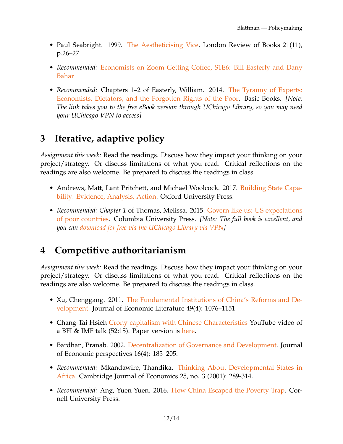- Paul Seabright. 1999. [The Aestheticising Vice,](http://www.lrb.co.uk/v21/n11/paul-seabright/the-aestheticising-vice) London Review of Books 21(11), p.26–27
- *Recommended:* [Economists on Zoom Getting Coffee, S1E6: Bill Easterly and Dany](https://www.youtube.com/watch?v=8bsQ06xN1B4&feature=youtu.be&ab_channel=DanyBahar) [Bahar](https://www.youtube.com/watch?v=8bsQ06xN1B4&feature=youtu.be&ab_channel=DanyBahar)
- *Recommended:* Chapters 1–2 of Easterly, William. 2014. [The Tyranny of Experts:](https://ebookcentral.proquest.com/lib/uchicago/detail.action?docID=1486474) [Economists, Dictators, and the Forgotten Rights of the Poor.](https://ebookcentral.proquest.com/lib/uchicago/detail.action?docID=1486474) Basic Books. *[Note: The link takes you to the free eBook version through UChicago Library, so you may need your UChicago VPN to access]*

# **3 Iterative, adaptive policy**

*Assignment this week:* Read the readings. Discuss how they impact your thinking on your project/strategy. Or discuss limitations of what you read. Critical reflections on the readings are also welcome. Be prepared to discuss the readings in class.

- Andrews, Matt, Lant Pritchett, and Michael Woolcock. 2017. [Building State Capa](http://fdslive.oup.com/www.oup.com/academic/pdf/openaccess/9780198747482.pdf)[bility: Evidence, Analysis, Action.](http://fdslive.oup.com/www.oup.com/academic/pdf/openaccess/9780198747482.pdf) Oxford University Press.
- *Recommended: Chapter 1* of Thomas, Melissa. 2015. [Govern like us: US expectations](https://www.dropbox.com/s/o1etdakuq381v8z/upso-9780231171205-chapter-001.pdf?dl=0) [of poor countries.](https://www.dropbox.com/s/o1etdakuq381v8z/upso-9780231171205-chapter-001.pdf?dl=0) Columbia University Press. *[Note: The full book is excellent, and you can [download for free via the UChicago Library via VPN\]](https://columbia-universitypressscholarship-com.proxy.uchicago.edu/view/10.7312/columbia/9780231171205.001.0001/upso-9780231171205)*

# **4 Competitive authoritarianism**

*Assignment this week:* Read the readings. Discuss how they impact your thinking on your project/strategy. Or discuss limitations of what you read. Critical reflections on the readings are also welcome. Be prepared to discuss the readings in class.

- Xu, Chenggang. 2011. [The Fundamental Institutions of China's Reforms and De](https://www.aeaweb.org/articles?id=10.1257/jel.49.4.1076)[velopment.](https://www.aeaweb.org/articles?id=10.1257/jel.49.4.1076) Journal of Economic Literature 49(4): 1076–1151.
- Chang-Tai Hsieh [Crony capitalism with Chinese Characteristics](https://www.youtube.com/watch?v=u8UEzVfspLs&feature=youtu.be) YouTube video of a BFI & IMF talk (52:15). Paper version is [here.](http://faculty.chicagobooth.edu/chang-tai.hsieh/research/crony_capitalism_nber_version.pdf)
- Bardhan, Pranab. 2002. [Decentralization of Governance and Development.](https://pubs.aeaweb.org/doi/pdfplus/10.1257/089533002320951037) Journal of Economic perspectives 16(4): 185–205.
- *Recommended:* Mkandawire, Thandika. [Thinking About Developmental States in](https://academic.oup.com/cje/article/25/3/289/1729863?login=true) [Africa.](https://academic.oup.com/cje/article/25/3/289/1729863?login=true) Cambridge Journal of Economics 25, no. 3 (2001): 289-314.
- *Recommended:* Ang, Yuen Yuen. 2016. [How China Escaped the Poverty Trap.](https://amzn.to/2YRLkI9) Cornell University Press.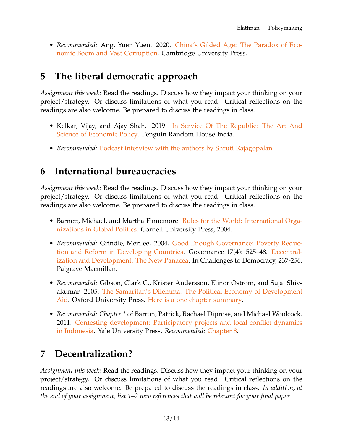• *Recommended:* Ang, Yuen Yuen. 2020. [China's Gilded Age: The Paradox of Eco](https://amzn.to/3jx9wZR)[nomic Boom and Vast Corruption.](https://amzn.to/3jx9wZR) Cambridge University Press.

# **5 The liberal democratic approach**

*Assignment this week:* Read the readings. Discuss how they impact your thinking on your project/strategy. Or discuss limitations of what you read. Critical reflections on the readings are also welcome. Be prepared to discuss the readings in class.

- Kelkar, Vijay, and Ajay Shah. 2019. [In Service Of The Republic: The Art And](https://amzn.to/2OgYGfb) [Science of Economic Policy.](https://amzn.to/2OgYGfb) Penguin Random House India.
- *Recommended:* [Podcast interview with the authors by Shruti Rajagopalan](https://www.mercatus.org/bridge/podcasts/08062020/ideas-india-libertarianism-necessity)

# **6 International bureaucracies**

*Assignment this week:* Read the readings. Discuss how they impact your thinking on your project/strategy. Or discuss limitations of what you read. Critical reflections on the readings are also welcome. Be prepared to discuss the readings in class.

- Barnett, Michael, and Martha Finnemore. [Rules for the World: International Orga](http://proxy.uchicago.edu/login?qurl=https%3A%2F%2Fsearch.ebscohost.com%2Flogin.aspx%3Fdirect%3Dtrue%26scope%3Dsite%26db%3De000xna%26AN%3D671352)[nizations in Global Politics.](http://proxy.uchicago.edu/login?qurl=https%3A%2F%2Fsearch.ebscohost.com%2Flogin.aspx%3Fdirect%3Dtrue%26scope%3Dsite%26db%3De000xna%26AN%3D671352) Cornell University Press, 2004.
- *Recommended:* Grindle, Merilee. 2004. [Good Enough Governance: Poverty Reduc](http://onlinelibrary.wiley.com/doi/10.1111/j.0952-1895.2004.00256.x/epdf)[tion and Reform in Developing Countries.](http://onlinelibrary.wiley.com/doi/10.1111/j.0952-1895.2004.00256.x/epdf) Governance 17(4): 525–48. [Decentral](https://www.dropbox.com/s/utz0gnppr5qi3n1/Ostrom-Decentralization%26Development.pdf?dl=0)[ization and Development: The New Panacea.](https://www.dropbox.com/s/utz0gnppr5qi3n1/Ostrom-Decentralization%26Development.pdf?dl=0) In Challenges to Democracy, 237-256. Palgrave Macmillan.
- *Recommended:* Gibson, Clark C., Krister Andersson, Elinor Ostrom, and Sujai Shivakumar. 2005. [The Samaritan's Dilemma: The Political Economy of Development](https://oxford-universitypressscholarship-com.proxy.uchicago.edu/view/10.1093/0199278857.001.0001/acprof-9780199278855) [Aid.](https://oxford-universitypressscholarship-com.proxy.uchicago.edu/view/10.1093/0199278857.001.0001/acprof-9780199278855) Oxford University Press. [Here is a one chapter summary.](https://repository.upenn.edu/cgi/viewcontent.cgi?article=1075&context=bepp_papers#page=39)
- *Recommended: Chapter 1* of Barron, Patrick, Rachael Diprose, and Michael Woolcock. 2011. [Contesting development: Participatory projects and local conflict dynamics](https://www.dropbox.com/s/p8akautsn99x1b3/BarronPatrickWo_2011_CHAPTER1Institutional_ContestingDevelopment.pdf?dl=0) [in Indonesia.](https://www.dropbox.com/s/p8akautsn99x1b3/BarronPatrickWo_2011_CHAPTER1Institutional_ContestingDevelopment.pdf?dl=0) Yale University Press. *Recommended:* [Chapter 8.](https://www.dropbox.com/s/i5w0f6hiaozzxcz/BarronPatrickWo_2011_CHAPTER8ContestingDev_ContestingDevelopment.pdf?dl=0)

# **7 Decentralization?**

*Assignment this week:* Read the readings. Discuss how they impact your thinking on your project/strategy. Or discuss limitations of what you read. Critical reflections on the readings are also welcome. Be prepared to discuss the readings in class. *In addition, at the end of your assignment, list 1–2 new references that will be relevant for your final paper.*